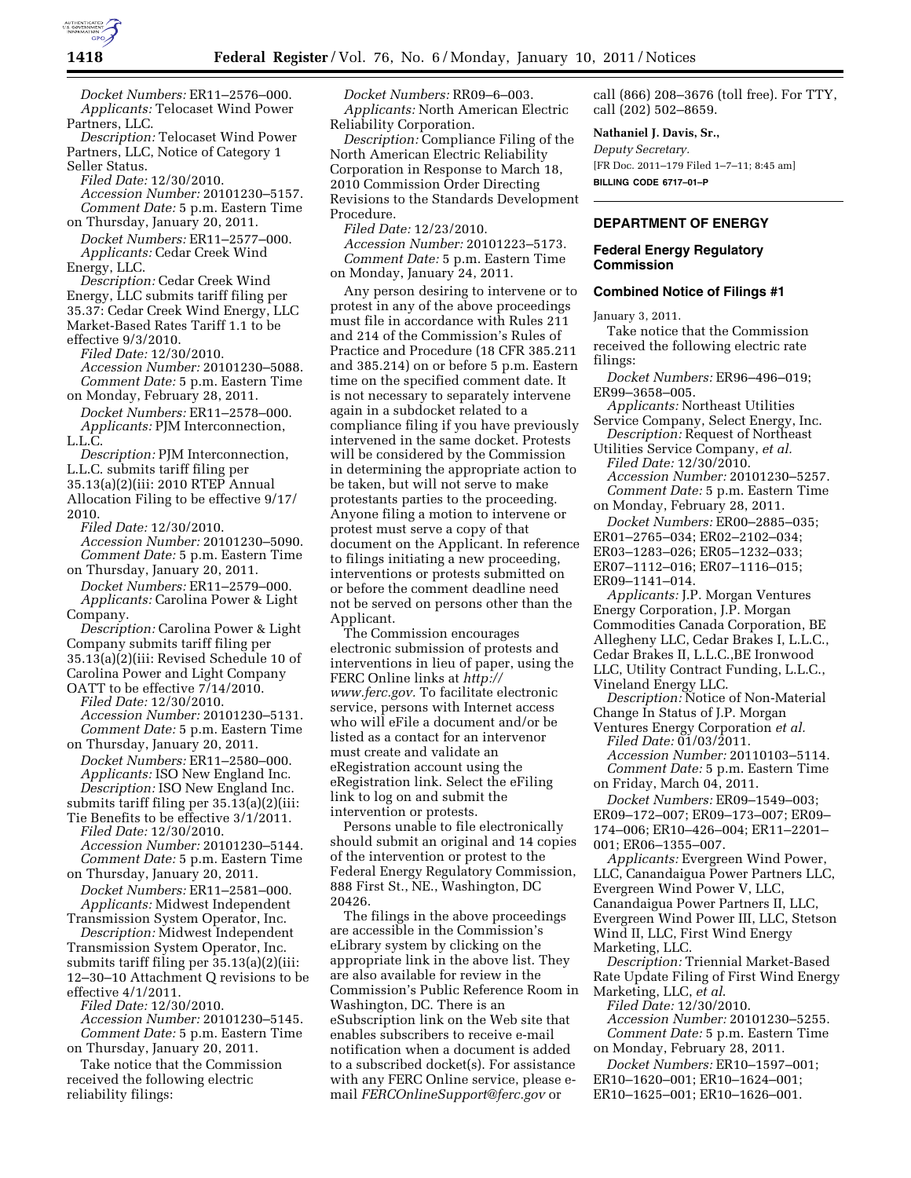

*Docket Numbers:* ER11–2576–000. *Applicants:* Telocaset Wind Power Partners, LLC.

*Description:* Telocaset Wind Power Partners, LLC, Notice of Category 1 Seller Status.

*Filed Date:* 12/30/2010.

*Accession Number:* 20101230–5157. *Comment Date:* 5 p.m. Eastern Time on Thursday, January 20, 2011.

*Docket Numbers:* ER11–2577–000. *Applicants:* Cedar Creek Wind Energy, LLC.

*Description:* Cedar Creek Wind Energy, LLC submits tariff filing per 35.37: Cedar Creek Wind Energy, LLC Market-Based Rates Tariff 1.1 to be effective 9/3/2010.

*Filed Date:* 12/30/2010.

*Accession Number:* 20101230–5088. *Comment Date:* 5 p.m. Eastern Time on Monday, February 28, 2011.

*Docket Numbers:* ER11–2578–000. *Applicants:* PJM Interconnection, L.L.C.

*Description:* PJM Interconnection, L.L.C. submits tariff filing per 35.13(a)(2)(iii: 2010 RTEP Annual Allocation Filing to be effective 9/17/ 2010.

*Filed Date:* 12/30/2010. *Accession Number:* 20101230–5090. *Comment Date:* 5 p.m. Eastern Time

on Thursday, January 20, 2011. *Docket Numbers:* ER11–2579–000. *Applicants:* Carolina Power & Light Company.

*Description:* Carolina Power & Light Company submits tariff filing per 35.13(a)(2)(iii: Revised Schedule 10 of Carolina Power and Light Company OATT to be effective 7/14/2010.

*Filed Date:* 12/30/2010. *Accession Number:* 20101230–5131. *Comment Date:* 5 p.m. Eastern Time

on Thursday, January 20, 2011. *Docket Numbers:* ER11–2580–000. *Applicants:* ISO New England Inc. *Description:* ISO New England Inc. submits tariff filing per 35.13(a)(2)(iii:

Tie Benefits to be effective 3/1/2011. *Filed Date:* 12/30/2010. *Accession Number:* 20101230–5144. *Comment Date:* 5 p.m. Eastern Time

on Thursday, January 20, 2011. *Docket Numbers:* ER11–2581–000. *Applicants:* Midwest Independent

Transmission System Operator, Inc. *Description:* Midwest Independent Transmission System Operator, Inc. submits tariff filing per 35.13(a)(2)(iii: 12–30–10 Attachment Q revisions to be effective 4/1/2011.

*Filed Date:* 12/30/2010. *Accession Number:* 20101230–5145.

*Comment Date:* 5 p.m. Eastern Time on Thursday, January 20, 2011.

Take notice that the Commission received the following electric reliability filings:

*Docket Numbers:* RR09–6–003. *Applicants:* North American Electric Reliability Corporation.

*Description:* Compliance Filing of the North American Electric Reliability Corporation in Response to March 18, 2010 Commission Order Directing Revisions to the Standards Development Procedure.

*Filed Date:* 12/23/2010.

*Accession Number:* 20101223–5173. *Comment Date:* 5 p.m. Eastern Time on Monday, January 24, 2011.

Any person desiring to intervene or to protest in any of the above proceedings must file in accordance with Rules 211 and 214 of the Commission's Rules of Practice and Procedure (18 CFR 385.211 and 385.214) on or before 5 p.m. Eastern time on the specified comment date. It is not necessary to separately intervene again in a subdocket related to a compliance filing if you have previously intervened in the same docket. Protests will be considered by the Commission in determining the appropriate action to be taken, but will not serve to make protestants parties to the proceeding. Anyone filing a motion to intervene or protest must serve a copy of that document on the Applicant. In reference to filings initiating a new proceeding, interventions or protests submitted on or before the comment deadline need not be served on persons other than the Applicant.

The Commission encourages electronic submission of protests and interventions in lieu of paper, using the FERC Online links at *[http://](http://www.ferc.gov)  [www.ferc.gov.](http://www.ferc.gov)* To facilitate electronic service, persons with Internet access who will eFile a document and/or be listed as a contact for an intervenor must create and validate an eRegistration account using the eRegistration link. Select the eFiling link to log on and submit the intervention or protests.

Persons unable to file electronically should submit an original and 14 copies of the intervention or protest to the Federal Energy Regulatory Commission, 888 First St., NE., Washington, DC 20426.

The filings in the above proceedings are accessible in the Commission's eLibrary system by clicking on the appropriate link in the above list. They are also available for review in the Commission's Public Reference Room in Washington, DC. There is an eSubscription link on the Web site that enables subscribers to receive e-mail notification when a document is added to a subscribed docket(s). For assistance with any FERC Online service, please email *[FERCOnlineSupport@ferc.gov](mailto:FERCOnlineSupport@ferc.gov)* or

call (866) 208–3676 (toll free). For TTY, call (202) 502–8659.

#### **Nathaniel J. Davis, Sr.,**

*Deputy Secretary.*  [FR Doc. 2011–179 Filed 1–7–11; 8:45 am] **BILLING CODE 6717–01–P** 

## **DEPARTMENT OF ENERGY**

### **Federal Energy Regulatory Commission**

# **Combined Notice of Filings #1**

January 3, 2011.

Take notice that the Commission received the following electric rate filings:

*Docket Numbers:* ER96–496–019; ER99–3658–005.

*Applicants:* Northeast Utilities Service Company, Select Energy, Inc.

*Description:* Request of Northeast Utilities Service Company, *et al.* 

*Filed Date:* 12/30/2010. *Accession Number:* 20101230–5257. *Comment Date:* 5 p.m. Eastern Time

on Monday, February 28, 2011.

*Docket Numbers:* ER00–2885–035; ER01–2765–034; ER02–2102–034;

ER03–1283–026; ER05–1232–033;

ER07–1112–016; ER07–1116–015;

ER09–1141–014.

*Applicants:* J.P. Morgan Ventures Energy Corporation, J.P. Morgan Commodities Canada Corporation, BE Allegheny LLC, Cedar Brakes I, L.L.C., Cedar Brakes II, L.L.C.,BE Ironwood LLC, Utility Contract Funding, L.L.C., Vineland Energy LLC.

*Description:* Notice of Non-Material Change In Status of J.P. Morgan

Ventures Energy Corporation *et al. Filed Date:* 01/03/2011.

*Accession Number:* 20110103–5114. *Comment Date:* 5 p.m. Eastern Time on Friday, March 04, 2011.

*Docket Numbers:* ER09–1549–003; ER09–172–007; ER09–173–007; ER09– 174–006; ER10–426–004; ER11–2201– 001; ER06–1355–007.

*Applicants:* Evergreen Wind Power, LLC, Canandaigua Power Partners LLC, Evergreen Wind Power V, LLC, Canandaigua Power Partners II, LLC, Evergreen Wind Power III, LLC, Stetson Wind II, LLC, First Wind Energy Marketing, LLC.

*Description:* Triennial Market-Based Rate Update Filing of First Wind Energy Marketing, LLC, *et al*.

*Filed Date:* 12/30/2010. *Accession Number:* 20101230–5255. *Comment Date:* 5 p.m. Eastern Time on Monday, February 28, 2011.

*Docket Numbers:* ER10–1597–001; ER10–1620–001; ER10–1624–001; ER10–1625–001; ER10–1626–001.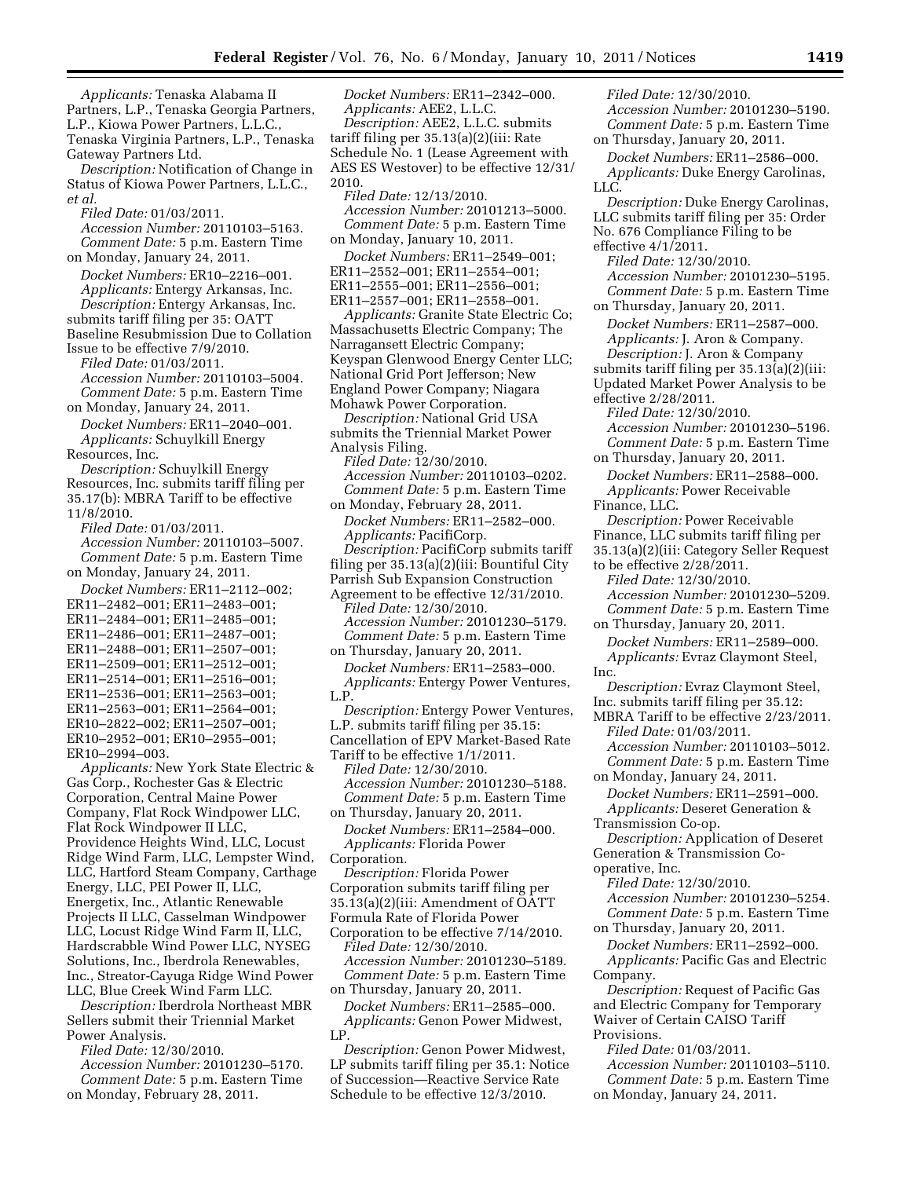*Applicants:* Tenaska Alabama II Partners, L.P., Tenaska Georgia Partners, L.P., Kiowa Power Partners, L.L.C., Tenaska Virginia Partners, L.P., Tenaska Gateway Partners Ltd. *Description:* Notification of Change in Status of Kiowa Power Partners, L.L.C., *et al. Filed Date:* 01/03/2011. *Accession Number:* 20110103–5163. *Comment Date:* 5 p.m. Eastern Time on Monday, January 24, 2011. *Docket Numbers:* ER10–2216–001. *Applicants:* Entergy Arkansas, Inc. *Description:* Entergy Arkansas, Inc.

submits tariff filing per 35: OATT Baseline Resubmission Due to Collation Issue to be effective 7/9/2010.

*Filed Date:* 01/03/2011. *Accession Number:* 20110103–5004. *Comment Date:* 5 p.m. Eastern Time

on Monday, January 24, 2011. *Docket Numbers:* ER11–2040–001.

*Applicants:* Schuylkill Energy Resources, Inc.

*Description:* Schuylkill Energy Resources, Inc. submits tariff filing per 35.17(b): MBRA Tariff to be effective 11/8/2010.

*Filed Date:* 01/03/2011. *Accession Number:* 20110103–5007. *Comment Date:* 5 p.m. Eastern Time on Monday, January 24, 2011.

*Docket Numbers:* ER11–2112–002; ER11–2482–001; ER11–2483–001; ER11–2484–001; ER11–2485–001; ER11–2486–001; ER11–2487–001; ER11–2488–001; ER11–2507–001; ER11–2509–001; ER11–2512–001; ER11–2514–001; ER11–2516–001; ER11–2536–001; ER11–2563–001; ER11–2563–001; ER11–2564–001; ER10–2822–002; ER11–2507–001; ER10–2952–001; ER10–2955–001; ER10–2994–003.

L.P.

*Applicants:* New York State Electric & Gas Corp., Rochester Gas & Electric Corporation, Central Maine Power Company, Flat Rock Windpower LLC, Flat Rock Windpower II LLC, Providence Heights Wind, LLC, Locust Ridge Wind Farm, LLC, Lempster Wind, LLC, Hartford Steam Company, Carthage Energy, LLC, PEI Power II, LLC, Energetix, Inc., Atlantic Renewable Projects II LLC, Casselman Windpower LLC, Locust Ridge Wind Farm II, LLC, Hardscrabble Wind Power LLC, NYSEG Solutions, Inc., Iberdrola Renewables, Inc., Streator-Cayuga Ridge Wind Power LLC, Blue Creek Wind Farm LLC.

*Description:* Iberdrola Northeast MBR Sellers submit their Triennial Market Power Analysis.

*Filed Date:* 12/30/2010. *Accession Number:* 20101230–5170. *Comment Date:* 5 p.m. Eastern Time on Monday, February 28, 2011.

*Docket Numbers:* ER11–2342–000. *Applicants:* AEE2, L.L.C. *Description:* AEE2, L.L.C. submits tariff filing per 35.13(a)(2)(iii: Rate Schedule No. 1 (Lease Agreement with AES ES Westover) to be effective 12/31/ 2010. *Filed Date:* 12/13/2010. *Accession Number:* 20101213–5000. *Comment Date:* 5 p.m. Eastern Time on Monday, January 10, 2011. *Docket Numbers:* ER11–2549–001; ER11–2552–001; ER11–2554–001; ER11–2555–001; ER11–2556–001; ER11–2557–001; ER11–2558–001. *Applicants:* Granite State Electric Co; Massachusetts Electric Company; The Narragansett Electric Company; Keyspan Glenwood Energy Center LLC; National Grid Port Jefferson; New England Power Company; Niagara Mohawk Power Corporation. *Description:* National Grid USA submits the Triennial Market Power Analysis Filing. *Filed Date:* 12/30/2010. *Accession Number:* 20110103–0202. *Comment Date:* 5 p.m. Eastern Time on Monday, February 28, 2011. *Docket Numbers:* ER11–2582–000. *Applicants:* PacifiCorp. *Description:* PacifiCorp submits tariff filing per 35.13(a)(2)(iii: Bountiful City Parrish Sub Expansion Construction Agreement to be effective 12/31/2010. *Filed Date:* 12/30/2010. *Accession Number:* 20101230–5179. *Comment Date:* 5 p.m. Eastern Time on Thursday, January 20, 2011. *Docket Numbers:* ER11–2583–000. *Applicants:* Entergy Power Ventures, *Description:* Entergy Power Ventures, L.P. submits tariff filing per 35.15: Cancellation of EPV Market-Based Rate Tariff to be effective 1/1/2011. *Filed Date:* 12/30/2010. *Accession Number:* 20101230–5188. *Comment Date:* 5 p.m. Eastern Time on Thursday, January 20, 2011. *Docket Numbers:* ER11–2584–000. *Applicants:* Florida Power Corporation. *Description:* Florida Power Corporation submits tariff filing per 35.13(a)(2)(iii: Amendment of OATT Formula Rate of Florida Power Corporation to be effective 7/14/2010. *Filed Date:* 12/30/2010. *Accession Number:* 20101230–5189. *Comment Date:* 5 p.m. Eastern Time on Thursday, January 20, 2011. *Docket Numbers:* ER11–2585–000. *Applicants:* Genon Power Midwest, Inc.

LP. *Description:* Genon Power Midwest, LP submits tariff filing per 35.1: Notice of Succession—Reactive Service Rate Schedule to be effective 12/3/2010.

*Filed Date:* 12/30/2010. *Accession Number:* 20101230–5190. *Comment Date:* 5 p.m. Eastern Time on Thursday, January 20, 2011. *Docket Numbers:* ER11–2586–000. *Applicants:* Duke Energy Carolinas, LLC. *Description:* Duke Energy Carolinas, LLC submits tariff filing per 35: Order No. 676 Compliance Filing to be effective 4/1/2011. *Filed Date:* 12/30/2010. *Accession Number:* 20101230–5195. *Comment Date:* 5 p.m. Eastern Time on Thursday, January 20, 2011. *Docket Numbers:* ER11–2587–000. *Applicants:* J. Aron & Company. *Description:* J. Aron & Company submits tariff filing per 35.13(a)(2)(iii: Updated Market Power Analysis to be effective 2/28/2011. *Filed Date:* 12/30/2010. *Accession Number:* 20101230–5196. *Comment Date:* 5 p.m. Eastern Time on Thursday, January 20, 2011. *Docket Numbers:* ER11–2588–000. *Applicants:* Power Receivable Finance, LLC. *Description:* Power Receivable Finance, LLC submits tariff filing per 35.13(a)(2)(iii: Category Seller Request to be effective 2/28/2011. *Filed Date:* 12/30/2010. *Accession Number:* 20101230–5209. *Comment Date:* 5 p.m. Eastern Time on Thursday, January 20, 2011. *Docket Numbers:* ER11–2589–000. *Applicants:* Evraz Claymont Steel, *Description:* Evraz Claymont Steel, Inc. submits tariff filing per 35.12: MBRA Tariff to be effective 2/23/2011. *Filed Date:* 01/03/2011. *Accession Number:* 20110103–5012. *Comment Date:* 5 p.m. Eastern Time on Monday, January 24, 2011. *Docket Numbers:* ER11–2591–000. *Applicants:* Deseret Generation & Transmission Co-op. *Description:* Application of Deseret Generation & Transmission Cooperative, Inc. *Filed Date:* 12/30/2010. *Accession Number:* 20101230–5254. *Comment Date:* 5 p.m. Eastern Time on Thursday, January 20, 2011. *Docket Numbers:* ER11–2592–000. *Applicants:* Pacific Gas and Electric Company. *Description:* Request of Pacific Gas and Electric Company for Temporary Waiver of Certain CAISO Tariff

Provisions.

*Filed Date:* 01/03/2011.

*Accession Number:* 20110103–5110. *Comment Date:* 5 p.m. Eastern Time

on Monday, January 24, 2011.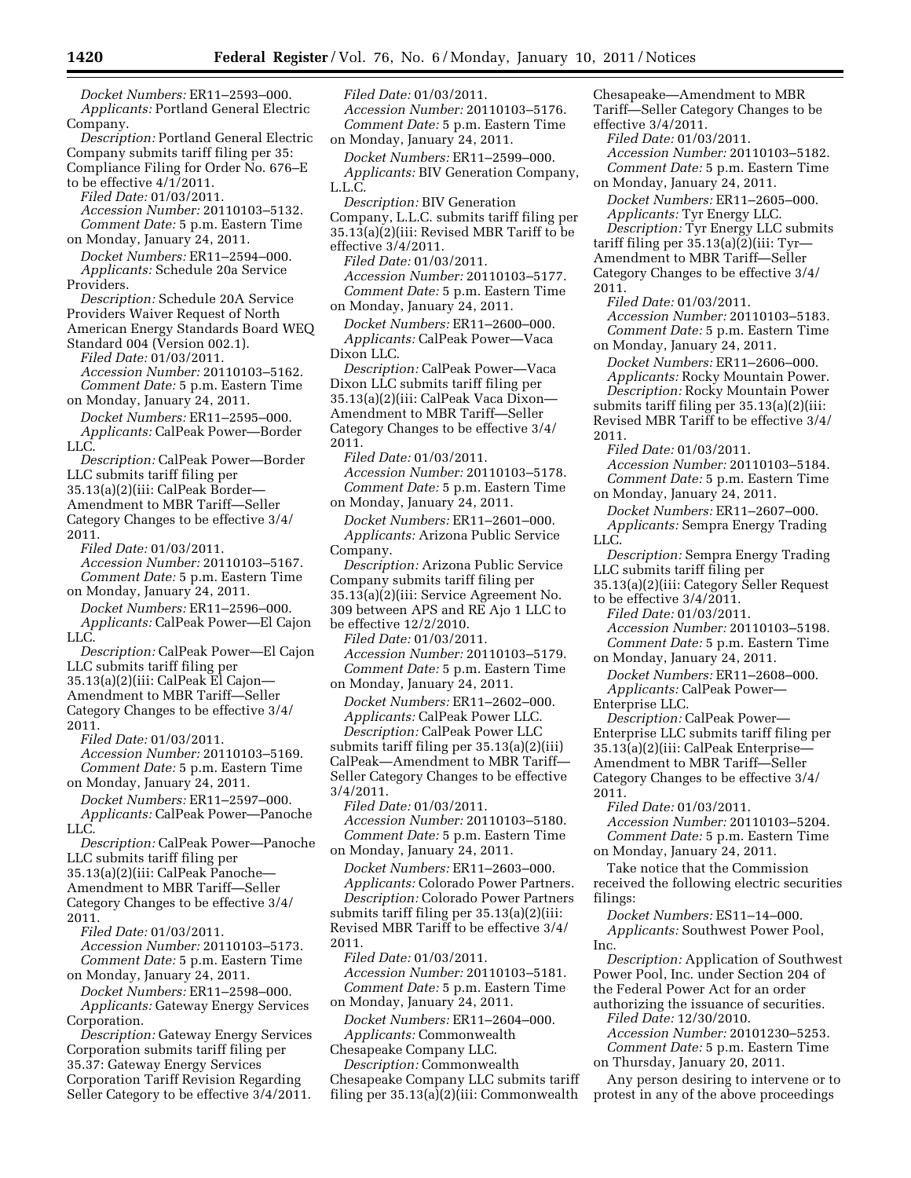*Docket Numbers:* ER11–2593–000. *Applicants:* Portland General Electric Company.

*Description:* Portland General Electric Company submits tariff filing per 35: Compliance Filing for Order No. 676–E to be effective 4/1/2011.

*Filed Date:* 01/03/2011. *Accession Number:* 20110103–5132.

*Comment Date:* 5 p.m. Eastern Time on Monday, January 24, 2011.

*Docket Numbers:* ER11–2594–000. *Applicants:* Schedule 20a Service Providers.

*Description:* Schedule 20A Service Providers Waiver Request of North American Energy Standards Board WEQ

Standard 004 (Version 002.1). *Filed Date:* 01/03/2011. *Accession Number:* 20110103–5162. *Comment Date:* 5 p.m. Eastern Time

on Monday, January 24, 2011. *Docket Numbers:* ER11–2595–000. *Applicants:* CalPeak Power—Border LLC.

*Description:* CalPeak Power—Border LLC submits tariff filing per 35.13(a)(2)(iii: CalPeak Border—

Amendment to MBR Tariff—Seller Category Changes to be effective 3/4/ 2011.

*Filed Date:* 01/03/2011. *Accession Number:* 20110103–5167. *Comment Date:* 5 p.m. Eastern Time on Monday, January 24, 2011.

*Docket Numbers:* ER11–2596–000. *Applicants:* CalPeak Power—El Cajon LLC.

*Description:* CalPeak Power—El Cajon LLC submits tariff filing per

35.13(a)(2)(iii: CalPeak El Cajon—

Amendment to MBR Tariff—Seller

Category Changes to be effective 3/4/ 2011.

*Filed Date:* 01/03/2011. *Accession Number:* 20110103–5169.

*Comment Date:* 5 p.m. Eastern Time on Monday, January 24, 2011.

*Docket Numbers:* ER11–2597–000. *Applicants:* CalPeak Power—Panoche LLC.

*Description:* CalPeak Power—Panoche LLC submits tariff filing per

35.13(a)(2)(iii: CalPeak Panoche—

Amendment to MBR Tariff—Seller

Category Changes to be effective 3/4/ 2011.

*Filed Date:* 01/03/2011.

*Accession Number:* 20110103–5173. *Comment Date:* 5 p.m. Eastern Time

on Monday, January 24, 2011.

*Docket Numbers:* ER11–2598–000. *Applicants:* Gateway Energy Services Corporation.

*Description:* Gateway Energy Services Corporation submits tariff filing per 35.37: Gateway Energy Services Corporation Tariff Revision Regarding Seller Category to be effective 3/4/2011.

*Filed Date:* 01/03/2011. *Accession Number:* 20110103–5176. *Comment Date:* 5 p.m. Eastern Time on Monday, January 24, 2011.

*Docket Numbers:* ER11–2599–000. *Applicants:* BIV Generation Company, L.L.C.

*Description:* BIV Generation Company, L.L.C. submits tariff filing per 35.13(a)(2)(iii: Revised MBR Tariff to be effective 3/4/2011.

*Filed Date:* 01/03/2011. *Accession Number:* 20110103–5177. *Comment Date:* 5 p.m. Eastern Time on Monday, January 24, 2011.

*Docket Numbers:* ER11–2600–000. *Applicants:* CalPeak Power—Vaca Dixon LLC.

*Description:* CalPeak Power—Vaca Dixon LLC submits tariff filing per 35.13(a)(2)(iii: CalPeak Vaca Dixon— Amendment to MBR Tariff—Seller Category Changes to be effective 3/4/ 2011.

*Filed Date:* 01/03/2011. *Accession Number:* 20110103–5178. *Comment Date:* 5 p.m. Eastern Time on Monday, January 24, 2011.

*Docket Numbers:* ER11–2601–000. *Applicants:* Arizona Public Service Company.

*Description:* Arizona Public Service Company submits tariff filing per 35.13(a)(2)(iii: Service Agreement No. 309 between APS and RE Ajo 1 LLC to be effective 12/2/2010.

*Filed Date:* 01/03/2011.

*Accession Number:* 20110103–5179. *Comment Date:* 5 p.m. Eastern Time on Monday, January 24, 2011.

*Docket Numbers:* ER11–2602–000. *Applicants:* CalPeak Power LLC. *Description:* CalPeak Power LLC submits tariff filing per 35.13(a)(2)(iii) CalPeak—Amendment to MBR Tariff— Seller Category Changes to be effective 3/4/2011.

*Filed Date:* 01/03/2011. *Accession Number:* 20110103–5180. *Comment Date:* 5 p.m. Eastern Time on Monday, January 24, 2011.

*Docket Numbers:* ER11–2603–000. *Applicants:* Colorado Power Partners. *Description:* Colorado Power Partners submits tariff filing per 35.13(a)(2)(iii: Revised MBR Tariff to be effective 3/4/ 2011.

*Filed Date:* 01/03/2011. *Accession Number:* 20110103–5181. *Comment Date:* 5 p.m. Eastern Time on Monday, January 24, 2011.

*Docket Numbers:* ER11–2604–000. *Applicants:* Commonwealth

Chesapeake Company LLC.

*Description:* Commonwealth Chesapeake Company LLC submits tariff filing per 35.13(a)(2)(iii: Commonwealth

Chesapeake—Amendment to MBR Tariff—Seller Category Changes to be effective 3/4/2011.

*Filed Date:* 01/03/2011. *Accession Number:* 20110103–5182. *Comment Date:* 5 p.m. Eastern Time

on Monday, January 24, 2011. *Docket Numbers:* ER11–2605–000. *Applicants:* Tyr Energy LLC.

*Description:* Tyr Energy LLC submits tariff filing per  $35.13(a)(2)$ (iii: Tyr-Amendment to MBR Tariff—Seller Category Changes to be effective 3/4/ 2011.

*Filed Date:* 01/03/2011. *Accession Number:* 20110103–5183. *Comment Date:* 5 p.m. Eastern Time on Monday, January 24, 2011.

*Docket Numbers:* ER11–2606–000. *Applicants:* Rocky Mountain Power. *Description:* Rocky Mountain Power submits tariff filing per 35.13(a)(2)(iii: Revised MBR Tariff to be effective 3/4/ 2011.

*Filed Date:* 01/03/2011. *Accession Number:* 20110103–5184. *Comment Date:* 5 p.m. Eastern Time on Monday, January 24, 2011.

*Docket Numbers:* ER11–2607–000. *Applicants:* Sempra Energy Trading LLC.

*Description:* Sempra Energy Trading LLC submits tariff filing per

35.13(a)(2)(iii: Category Seller Request

to be effective 3/4/2011.

*Filed Date:* 01/03/2011.

*Accession Number:* 20110103–5198. *Comment Date:* 5 p.m. Eastern Time

on Monday, January 24, 2011.

*Docket Numbers:* ER11–2608–000. *Applicants:* CalPeak Power—

Enterprise LLC.

*Description:* CalPeak Power— Enterprise LLC submits tariff filing per 35.13(a)(2)(iii: CalPeak Enterprise— Amendment to MBR Tariff—Seller Category Changes to be effective 3/4/ 2011.

*Filed Date:* 01/03/2011. *Accession Number:* 20110103–5204. *Comment Date:* 5 p.m. Eastern Time on Monday, January 24, 2011.

Take notice that the Commission received the following electric securities filings:

*Docket Numbers:* ES11–14–000. *Applicants:* Southwest Power Pool, Inc.

*Description:* Application of Southwest Power Pool, Inc. under Section 204 of the Federal Power Act for an order authorizing the issuance of securities.

*Filed Date:* 12/30/2010. *Accession Number:* 20101230–5253. *Comment Date:* 5 p.m. Eastern Time on Thursday, January 20, 2011.

Any person desiring to intervene or to protest in any of the above proceedings